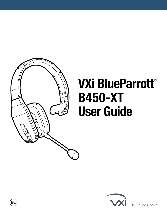

# **VXi BlueParrott**® **B450-XT User Guide**



The Sound Choice<sup>™</sup>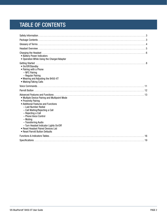# TABLE OF CONTENTS

| • Battery Power Indicators<br>• Operation While Using the Charger/Adapter                                                                                                                                                                                                                                                                                                     |
|-------------------------------------------------------------------------------------------------------------------------------------------------------------------------------------------------------------------------------------------------------------------------------------------------------------------------------------------------------------------------------|
| • On/Off/Standby<br>• Pairing with a Phone<br>$-$ NFC Pairing<br>- Regular Pairing<br>• Wearing and Adjusting the B450-XT<br>• Making/Taking Calls                                                                                                                                                                                                                            |
|                                                                                                                                                                                                                                                                                                                                                                               |
|                                                                                                                                                                                                                                                                                                                                                                               |
| • Multiple Device Pairing and Multipoint Mode<br>• Proximity Pairing<br>• Additional Features and Functions<br>- Last Number Redial<br>- Call Waiting/Rejecting a Call<br>- Rejecting a Call<br>- Phone Voice Control<br>– Muting<br>- Transferring Audio<br>- Turn Headset Indicator Lights On/Off<br>• Reset Headset Paired Devices List<br>• Reset Parrott Button Defaults |
|                                                                                                                                                                                                                                                                                                                                                                               |
|                                                                                                                                                                                                                                                                                                                                                                               |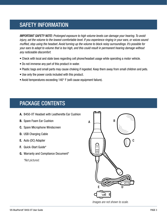# <span id="page-2-0"></span>SAFETY INFORMATION

*IMPORTANT SAFETY NOTE: Prolonged exposure to high volume levels can damage your hearing. To avoid injury, set the volume to the lowest comfortable level. If you experience ringing in your ears, or voices sound muffled, stop using the headset. Avoid turning up the volume to block noisy surroundings. It's possible for your ears to adapt to volume that is too high, and this could result in permanent hearing damage without any noticeable discomfort.*

- Check with local and state laws regarding cell phone/headset usage while operating a motor vehicle.
- Do not immerse any part of this product in water.
- Plastic bags and small parts may cause choking if ingested. Keep them away from small children and pets.
- Use only the power cords included with this product.
- Avoid temperatures exceeding 140° F (will cause equipment failure).

### <span id="page-2-1"></span>PACKAGE CONTENTS

- **A.** B450-XT Headset with Leatherette Ear Cushion
- **B.** Spare Foam Ear Cushion
- **C.** Spare Microphone Windscreen
- **D.** USB Charging Cable
- **E.** Auto (DC) Adapter
- **F.** Quick-Start Guide\*
- **G.** Warranty and Compliance Document\*  *\*Not pictured.*



*Images are not shown to scale.*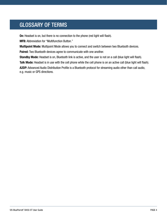# <span id="page-3-0"></span>GLOSSARY OF TERMS

**On:** Headset is on, but there is no connection to the phone (red light will flash).

**MFB:** Abbreviation for "Multifunction Button."

**Multipoint Mode:** Multipoint Mode allows you to connect and switch between two Bluetooth devices.

**Paired:** Two Bluetooth devices agree to communicate with one another.

**Standby Mode:** Headset is on, Bluetooth link is active, and the user is not on a call (blue light will flash).

**Talk Mode:** Headset is in use with the cell phone while the cell phone is on an active call (blue light will flash). **A2DP:** Advanced Audio Distribution Profile is a Bluetooth protocol for streaming audio other than call audio, e.g. music or GPS directions.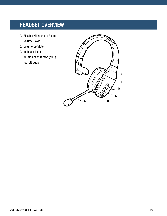# <span id="page-4-0"></span>HEADSET OVERVIEW

- A. Flexible Microphone Boom
- B. Volume Down
- C. Volume Up/Mute
- D. Indicator Lights
- E. Multifunction Button (MFB)
- F. Parrott Button

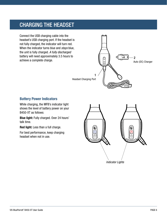# <span id="page-5-0"></span>CHARGING THE HEADSET

Connect the USB charging cable into the headset's USB charging port. If the headset is not fully charged, the indicator will turn red. When the indicator turns blue and *stays* blue, the unit is fully charged. *A fully discharged* battery will need approximately 3.5 hours to achieve a complete charge.



### **Battery Power Indicators**

While charging, the MFB's indicator light shows the level of battery power on your B450-XT as follows:

**Blue light:** Fully charged. Over 24 hours' talk time.

**Red light:** Less than a full charge.

For best performance, keep charging headset when not in use.

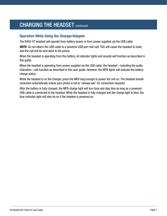# CHARGING THE HEADSET (continued)

### **Operation While Using the Charger/Adapter**

The B450-XT headset will operate from battery power or from power supplied via the USB cable.

*NOTE: Do not attach the USB cable to a powered USB port mid-call. This will cause the headset to reset, and the call will be sent back to the phone.*

When the headset is operating from the battery, all indicator lights and sounds will function as described in this guide.

When the headset is operating from power supplied via the USB cable, the headset—including the audio indicators—will function as described in this user guide. However, the MFB lights will indicate the battery charge status.

While the headset is on the charger, press the MFB long enough to power the unit on. The headset should reconnect automatically unless your phone is set to "always ask" for connection requests.

After the battery is fully charged, the MFB charge light will turn blue and stay blue as long as a powered USB cable is connected to the headset. While the headset is fully charged and the charge light is blue, the blue indicator light will also be on if the headset is powered on.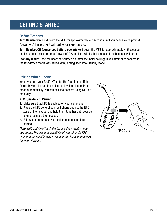# <span id="page-7-0"></span>GETTING STARTED

### **On/Off/Standby**

**Turn Headset On:** Hold down the MFB for approximately 2-3 seconds until you hear a voice prompt, "power on." The red light will flash once every second.

**Turn Headset Off (conserves battery power):** Hold down the MFB for approximately 4–5 seconds until you hear a voice prompt "power off." A red light will flash 4 times and the headset will turn off.

**Standby Mode:** Once the headset is turned on (after the initial pairing), it will attempt to connect to the last device that it was paired with, putting itself into Standby Mode.

### **Pairing with a Phone**

When you turn your B450-XT on for the first time, or if its Paired Device List has been cleared, it will go into pairing mode automatically. You can pair the headset using NFC or manually.

#### **NFC (One-Touch) Pairing**

- 1. Make sure that NFC is enabled on your cell phone.
- 2. Place the NFC zone of your cell phone against the NFC zone of the headset and hold them together until your cell phone registers the headset.
- 3. Follow the prompts on your cell phone to complete pairing.

*Note: NFC and One-Touch Pairing are dependent on your cell phone. The size and sensitivity of your phone's NFC zone and the specific way to connect the headset may vary between devices.*

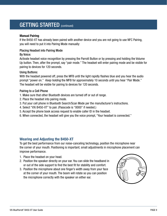### GETTING STARTED (continued)

#### **Manual Pairing**

If the B450-XT has already been paired with another device and you are not going to use NFC Pairing, you will need to put it into Pairing Mode manually:

#### Placing Headset into Pairing Mode

#### By Voice:

Activate headset voice recognition by pressing the Parrott Button or by pressing and holding the Volume Up button. Then, after the prompt, say "pair mode." The headset will enter pairing mode and be visible for pairing to devices for 120 seconds.

#### Using Buttons:

With the headset powered off, press the MFB until the light rapidly flashes blue and you hear the audio prompt "power on." *Keep holding* the MFB for approximately 10 seconds until you hear "Pair Mode." The headset will be visible for pairing to devices for 120 seconds.

#### Pairing to a Cell Phone

- 1. Make sure that other Bluetooth devices are turned off or out of range.
- 2. Place the headset into pairing mode.
- 3. Put your cell phone in Bluetooth Search/Scan Mode per the manufacturer's instructions.
- 4. Select "VXi B450-XT" to pair. (Passcode is "0000" if needed.)
- 5. Accept the phone book access request to enable caller ID in the headset.
- 6. When connected, the headset will give you the voice prompt, "Your headset is connected."

### **Wearing and Adjusting the B450-XT**

To get the best performance from our noise-canceling technology, position the microphone near the corner of your mouth. Positioning is important; small adjustments in microphone placement can improve performance.

- 1. Place the headset on your head.
- 2. Position the speaker directly on your ear. You can slide the headband in or out of the side support to find the best fit for stability and comfort.
- 3. Position the microphone about one finger's width away from your face at the corner of your mouth. The boom will rotate so you can position the microphone correctly with the speaker on either ear.

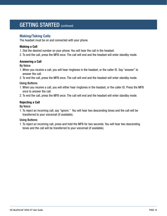### GETTING STARTED (continued)

### **Making/Taking Calls**

The headset must be on and connected with your phone.

#### **Making a Call**

- 1. Dial the desired number on your phone. You will hear the call in the headset.
- 2. To end the call, press the MFB once. The call will end and the headset will enter standby mode.

#### **Answering a Call**

#### By Voice:

- 1. When you receive a call, you will hear ringtones in the headset, or the caller ID. Say "answer" to answer the call.
- 2. To end the call, press the MFB once. The call will end and the headset will enter standby mode.

#### Using Buttons:

- 1. When you receive a call, you will either hear ringtones in the headset, or the caller ID. Press the MFB once to answer the call.
- 2. To end the call, press the MFB once. The call will end and the headset will enter standby mode.

#### **Rejecting a Call**

By Voice:

1. To reject an incoming call, say "ignore." You will hear two descending tones and the call will be transferred to your voicemail (if available).

#### Using Buttons:

1. To reject an incoming call, press and hold the MFB for two seconds. You will hear two descending tones and the call will be transferred to your voicemail (if available).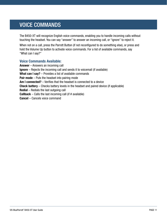# <span id="page-10-0"></span>VOICE COMMANDS

The B450-XT will recognize English voice commands, enabling you to handle incoming calls without touching the headset. You can say "answer" to answer an incoming call, or "ignore" to reject it.

When not on a call, press the Parrott Button (if not reconfigured to do something else), or press and hold the Volume Up button to activate voice commands. For a list of available commands, say "What can I say?"

### **Voice Commands Available:**

**Answer** – Answers an incoming call **Ignore** – Rejects the incoming call and sends it to voicemail (if available) **What can I say?** – Provides a list of available commands **Pair mode** – Puts the headset into pairing mode **Am I connected?** – Verifies that the headset is connected to a device **Check battery** – Checks battery levels in the headset and paired device (if applicable) **Redial** – Redials the last outgoing call **Callback** – Calls the last incoming call (if # available) **Cancel** – Cancels voice command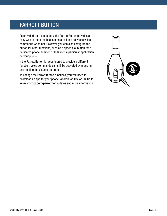### <span id="page-11-0"></span>PARROTT BUTTON

As provided from the factory, the Parrott Button provides an easy way to mute the headset on a call and activates voice commands when not. However, you can also configure the button for other functions, such as a speed dial button for a dedicated phone number, or to launch a particular application on your phone.

If the Parrott Button is reconfigured to provide a different function, voice commands can still be activated by pressing and holding the Volume Up button.

To change the Parrott Button functions, you will need to download an app for your phone (Android or iOS) or PC. Go to www.vxicorp.com/parrott for updates and more information.

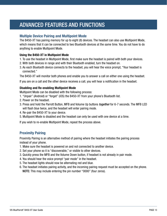# <span id="page-12-0"></span>ADVANCED FEATURES AND FUNCTIONS

### **Multiple Device Pairing and Multipoint Mode**

The B450-XT has pairing memory for up to eight (8) devices. The headset can also use Multipoint Mode, which means that it can be connected to two Bluetooth devices at the same time. You do not have to do anything to enable Multipoint Mode.

#### **Using the B450-XT in Multipoint Mode**

- 1. To use the headset in Multipoint Mode, first make sure the headset is paired with both your devices.
- 2. With both devices in range and with their Bluetooth enabled, turn the headset on.
- 3. As each Bluetooth device connects to the headset, you will hear the voice prompt, "Your headset is connected."

The B450-XT will monitor both phones and enable you to answer a call on either one using the headset.

If you are on a call and the other device receives a call, you will hear a notification in the headset.

#### **Disabling and Re-enabling Multipoint Mode**

Multipoint Mode can be disabled with the following process:

- 1. "Unpair" (Android) or "forget" (iOS) the B450-XT from your phone's Bluetooth list.
- 2. Power on the headset.
- 3. Press and hold the Parrott Button, MFB and Volume Up buttons *together* for 6-7 seconds. The MFB LED will flash blue twice, and the headset will enter pairing mode.
- 4. Re-pair the B450-XT to your device.
- 5. Multipoint Mode is disabled and the headset can only be used with one device at a time.

If you wish to re-enable Multipoint Mode, repeat the process above.

### **Proximity Pairing**

Proximity Pairing is an alternative method of pairing where the headset initiates the pairing process instead of your phone.

- 1. Make sure the headset is powered on and not connected to another device.
- 2. Set your phone so it is "discoverable," or visible to other devices.
- 3. Quickly press the MFB and the Volume Down button, if headset is not already in pair mode.
- 4. You should hear the voice prompt "pair mode" in the headset.
- 5. The headset lights should now be alternating red and blue.
- 6. The headset initiates pairing activity, and the incoming pairing request must be accepted on the phone. NOTE: This may include entering the pin number "0000" (four zeros).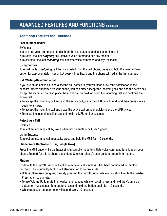# ADVANCED FEATURES AND FUNCTIONS (CONTINUED)

### **Additional Features and Functions**

#### **Last Number Redial**

#### By Voice:

You can use voice commands to dial both the last outgoing and last incoming call.

- To redial the last *outgoing* call, activate voice command and say "redial."
- To call back the last *incoming* call, activate voice command and say "callback."

#### Using Buttons:

To redial the last *outgoing* call that was dialed from the cell phone, press and hold the Volume Down button for approximately 1 second. A beep will be heard and the phone will redial the last number.

#### **Call Waiting/Rejecting a Call**

If you are on an active call and a second call comes in, you will hear a low tone notification in the headset. Where supported by your phone, you can either accept the incoming call and end the active call, accept the incoming call and place the active call on hold, or reject the incoming call and continue the active call.

- To accept the incoming call and end the active call, press the MFB once to end, and then press it once again to answer.
- To accept the incoming call and place the active call on hold, quickly press the MFB twice.
- To reject the incoming call, press and hold the MFB for 1-2 seconds.

#### **Rejecting a Call**

#### By Voice:

To reject an incoming call by voice when not on another call, say "ignore."

#### Using Buttons:

To reject an incoming call manually, press and hold the MFB for 1-2 seconds.

#### **Phone Voice Control (e.g. Siri, Google Now)**

Press the MFB once while the headset is in standby mode to initiate voice command functions on your phone. Support for this is phone dependent. See your phone's user guide for more information.

#### **Muting**

By default, the Parrott Button will act as a mute on calls (unless it has been configured for another function). The Volume Up button will also function to control mute.

- Unless otherwise configured, quickly pressing the Parrott Button while on a call will mute the headset. Press again to unmute.
- To use Volume Up to mute the headset microphone while on a call, press and hold the Volume Up button for 1-2 seconds. To unmute, press and hold the button again for 1-2 seconds.
- While muted, a reminder tone will sound every 10 seconds.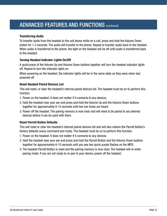# ADVANCED FEATURES AND FUNCTIONS (CONTINUED)

#### **Transferring Audio**

To transfer audio from the headset to the cell phone while on a call, press and hold the Volume Down button for 1-2 seconds. The audio will transfer to the phone. Repeat to transfer audio back to the headset. When audio is transferred to the phone, the light on the headset will be off until audio is transferred back to the headset.

#### **Turning Headset Indicator Lights On/Off**

A *quick* press of the Volume Up and Volume Down buttons together will turn the headset indicator lights off. Repeat to turn the indicator lights on.

When powering on the headset, the indicator lights will be in the same state as they were when last powered off.

#### **Reset Headset Paired Devices List**

This will reset, or clear the headset's internal paired devices list. The headset must be on to perform this function.

- 1. Power on the headset. It does not matter if it connects to any devices.
- 2. Hold the headset near your ear and press and hold the Volume Up and the Volume Down buttons together for approximately 6-10 seconds until two low tones are heard.
- 3. Power off the headset. The pairing memory is now clear and will need to be paired to any desired devices before it can be used with them.

#### **Reset Parrott Button Defaults**

This will reset or clear the headset's internal paired devices list and will also restore the Parrott Button's factory defaults (voice command and mute). The headset must be on to perform this function.

- 1. Power on the headset. It does not matter if it connects to any devices.
- 2. Hold the headset near your ear and press and hold the Parrott Button and the Volume Down buttons together for approximately 6-10 seconds until you see two quick purple flashes on the MFB.
- 3. The headset Parrott Button is reset and the pairing memory is now clear. The headset will re-enter pairing mode. If you are not ready to re-pair to your device, power off the headset.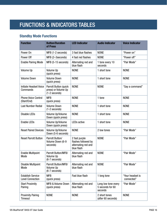# <span id="page-15-0"></span>FUNCTIONS & INDICATORS TABLES

### **Standby Mode Functions**

| <b>Function</b>                                     | <b>Button/Duration</b><br>of Press                              | <b>LED Indicator</b>                                                      | <b>Audio Indicator</b>                             | <b>Voice Indicator</b>         |
|-----------------------------------------------------|-----------------------------------------------------------------|---------------------------------------------------------------------------|----------------------------------------------------|--------------------------------|
| Power On                                            | MFB (1-2 seconds)                                               | 3 fast blue flashes                                                       | <b>NONE</b>                                        | "Power on"                     |
| Power Off                                           | MFB (2-3seconds)                                                | 4 fast red flashes                                                        | <b>NONE</b>                                        | "Power off"                    |
| <b>Enable Pairing Mode</b>                          | MFB (5-15 seconds)                                              | Alternating red and<br>blue flash                                         | 1 tone every 10<br>seconds                         | "Pair Mode"                    |
| Volume Up                                           | Volume Up<br>(quick press)                                      | <b>NONE</b>                                                               | 1 short tone                                       | <b>NONE</b>                    |
| <b>Volume Down</b>                                  | <b>Volume Down</b><br>(quick press)                             | <b>NONE</b>                                                               | 1 short tone                                       | <b>NONE</b>                    |
| Initiate Headset Voice<br>Commands                  | Parrott Button (quick<br>press) or Volume Up<br>$(1-2$ seconds) | <b>NONE</b>                                                               | <b>NONE</b>                                        | "Say a command"                |
| <b>Phone Voice Control</b><br>(Start/End)           | <b>MFB</b><br>(quick press)                                     | <b>NONE</b>                                                               | 1 tone                                             | <b>NONE</b>                    |
| <b>Last Number Redial</b>                           | <b>Volume Down</b><br>$(1-2$ seconds)                           | <b>NONE</b>                                                               | 1 short tone                                       | <b>NONE</b>                    |
| <b>Disable LEDs</b>                                 | Volume Up/Volume<br>Down (quick press)                          | <b>NONE</b>                                                               | 1 short tone                                       | <b>NONE</b>                    |
| <b>Enable LEDs</b>                                  | Volume Up/Volume<br>Down (quick press)                          | <b>LEDs active</b>                                                        | 1 short tone                                       | <b>NONE</b>                    |
| <b>Reset Paired Devices</b>                         | Volume Up/Volume<br>Down (5-6 seconds)                          | <b>NONE</b>                                                               | 2 low tones                                        | "Pair Mode"                    |
| <b>Reset Parrott Button</b>                         | Parrott Button/<br>Volume Down (6-9<br>seconds)                 | 2 fast purple<br>flashes followed by<br>alternating red and<br>blue flash | <b>NONE</b>                                        | "Pair Mode"                    |
| <b>Enable Multipoint</b><br>Mode                    | Parrott Button/MFB/<br>Volume Up<br>(6-7 seconds)               | Alternating red and<br>blue flash                                         | <b>NONE</b>                                        | "Pair Mode"                    |
| <b>Disable Multipoint</b><br>Mode                   | Parrott Button/MFB/<br>Volume Up<br>(6-7 seconds)               | Alternating red and<br>blue flash                                         | <b>NONE</b>                                        | "Pair Mode"                    |
| <b>Establish Service</b><br><b>Level Connection</b> | <b>MFB</b><br>(quick press)                                     | Fast blue flash                                                           | 1 long tone                                        | "Your headset is<br>connected" |
| <b>Start Proximity</b><br>Pairing                   | MFB & Volume Down<br>(quick press)                              | Alternating red and<br>blue flash                                         | Long low tone every<br>5 seconds for 60<br>seconds | "Pair Mode"                    |
| <b>Proximity Pairing</b><br>Timeout                 | <b>NONE</b>                                                     | <b>NONE</b>                                                               | 2 short tones<br>(after 60 seconds)                | <b>NONE</b>                    |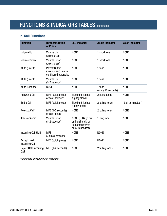# FUNCTIONS & INDICATORS TABLES (COntinued)

### **In-Call Functions**

| <b>Function</b>                            | <b>Button/Duration</b><br>of Press                                    | <b>LED Indicator</b>                                                              | <b>Audio Indicator</b>       | <b>Voice Indicator</b> |
|--------------------------------------------|-----------------------------------------------------------------------|-----------------------------------------------------------------------------------|------------------------------|------------------------|
| Volume Up                                  | Volume Up<br>(quick press)                                            | <b>NONE</b>                                                                       | 1 short tone                 | <b>NONE</b>            |
| <b>Volume Down</b>                         | <b>Volume Down</b><br>(quick press)                                   | <b>NONE</b>                                                                       | 1 short tone                 | <b>NONE</b>            |
| Mute (On/Off)                              | <b>Parrott Button</b><br>(quick press) unless<br>configured otherwise | <b>NONE</b>                                                                       | 1 tone                       | <b>NONE</b>            |
| Mute (On/Off)                              | Volume Up<br>$(1-2$ seconds)                                          | <b>NONE</b>                                                                       | 1 tone                       | <b>NONE</b>            |
| <b>Mute Reminder</b>                       | <b>NONE</b>                                                           | <b>NONE</b>                                                                       | 1 tone<br>(every 10 seconds) | <b>NONE</b>            |
| Answer a Call                              | MFB (quick press)<br>or say "answer"                                  | <b>Blue light flashes</b><br>slightly slower                                      | 2 rising tones               | <b>NONE</b>            |
| End a Call                                 | MFB (quick press)                                                     | <b>Blue light flashes</b><br>slightly faster                                      | 2 falling tones              | "Call terminated"      |
| Reject a Call*                             | MFB (1-2 seconds)<br>or say "ignore"                                  | <b>NONE</b>                                                                       | 2 falling tones              | <b>NONE</b>            |
| <b>Transfer Audio</b>                      | <b>Volume Down</b><br>$(1-2$ seconds)                                 | NONE (LEDs go out<br>until call ends, or<br>audio transferred<br>back to headset) | 1 long tone                  | <b>NONE</b>            |
| <b>Incoming Call Hold</b>                  | <b>MFB</b><br>(2 quick presses)                                       | <b>NONE</b>                                                                       | <b>NONE</b>                  | <b>NONE</b>            |
| <b>Accept Held</b><br><b>Incoming Call</b> | MFB (quick press)                                                     | <b>NONE</b>                                                                       | <b>NONE</b>                  | <b>NONE</b>            |
| <b>Reject Held Incoming</b><br>Call        | MFB (1-2 seconds)                                                     | <b>NONE</b>                                                                       | 2 falling tones              | <b>NONE</b>            |

*\*Sends call to voicemail (if available)*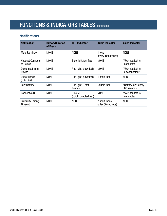# FUNCTIONS & INDICATORS TABLES (COntinued)

### **Notifications**

| <b>Notification</b>                  | <b>Button/Duration</b><br>of Press | <b>LED Indicator</b>                     | <b>Audio Indicator</b>              | <b>Voice Indicator</b>            |
|--------------------------------------|------------------------------------|------------------------------------------|-------------------------------------|-----------------------------------|
| <b>Mute Reminder</b>                 | <b>NONE</b>                        | <b>NONE</b>                              | 1 tone<br>(every 10 seconds)        | <b>NONE</b>                       |
| <b>Headset Connects</b><br>to Device | <b>NONE</b>                        | Blue light, fast flash                   | <b>NONE</b>                         | "Your headset is<br>connected"    |
| Disconnect from<br>Device            | <b>NONE</b>                        | Red light, slow flash                    | <b>NONE</b>                         | "Your headset is<br>disconnected" |
| Out of Range<br>(Link Loss)          | <b>NONE</b>                        | Red light, slow flash                    | 1 short tone                        | <b>NONE</b>                       |
| Low Battery                          | <b>NONE</b>                        | Red light, 2 fast<br>flashes             | Double tone                         | "Battery low" every<br>60 seconds |
| <b>Connect A2DP</b>                  | <b>NONE</b>                        | <b>Blue MFB</b><br>(quick, double-flash) | <b>NONE</b>                         | "Your headset is<br>connected     |
| <b>Proximity Pairing</b><br>Timeout  | <b>NONE</b>                        | <b>NONE</b>                              | 2 short tones<br>(after 60 seconds) | <b>NONE</b>                       |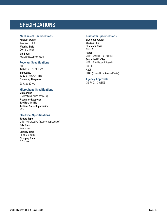### <span id="page-18-0"></span>**SPECIFICATIONS**

#### **Mechanical Specifications**

Headset Weight 5.22 oz. (148 g)

Wearing Style Over-the-head

Mic Boom Flexible gooseneck boom

### **Receiver Specifications**

SPL 123 dB ± 3 dB at 1 mW Impedance 32 Ω ± 15% @ 1 kHz Frequency Response

20 Hz to 20 kHz

#### **Microphone Specifications**

Microphone Bi-directional noise canceling

Frequency Response 100 Hz to 10 kHz Ambient Noise Suppression 96%

#### **Electrical Specifications**

Battery Type Li-ion rechargeable (not user-replaceable) Talk Time  $24+$  hours Standby Time Up to 500 hours Charging Time 3.5 hours

#### **Bluetooth Specifications**

Bluetooth Version Bluetooth 4.0 Bluetooth Class Class 1 Range Up to 300 feet (100 meters) Supported Profiles HFP 1.6 (Wideband Speech) HSP 1.2 A2DP PBAP (Phone Book Access Profile)

**Agency Approvals** 

CE, FCC, IC, WEEE